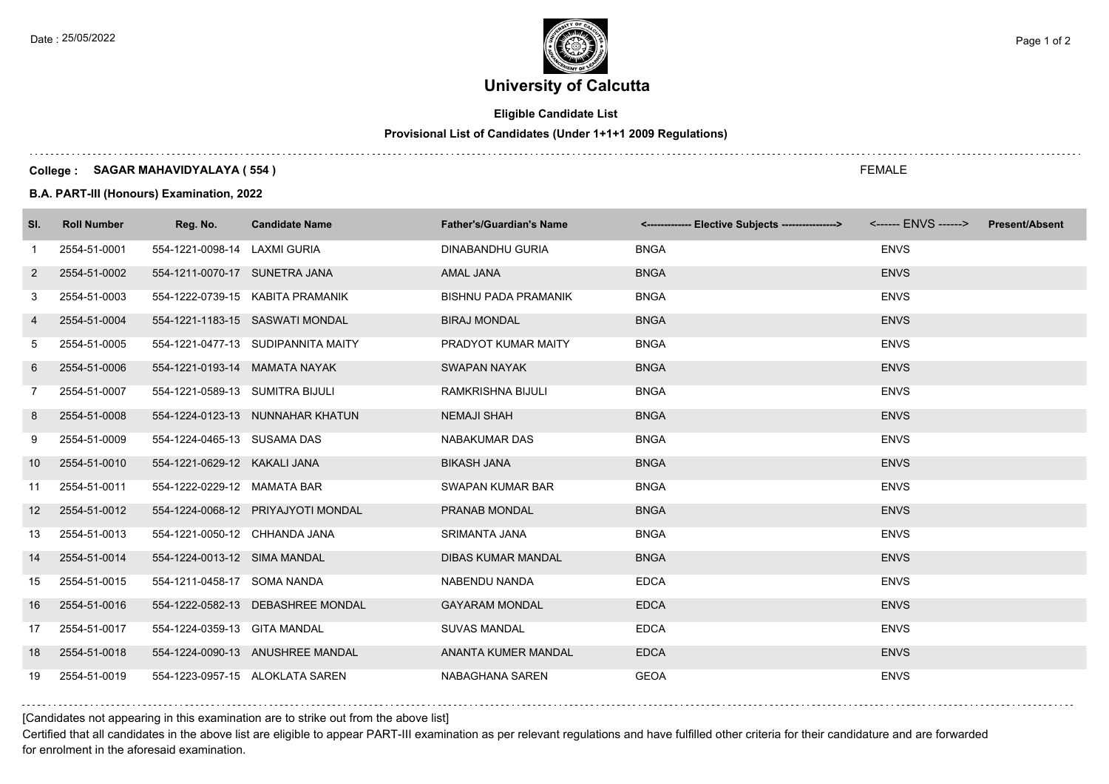

### **Eligible Candidate List**

### **Provisional List of Candidates (Under 1+1+1 2009 Regulations)**

#### **College : SAGAR MAHAVIDYALAYA ( 554 )**

**B.A. PART-III (Honours) Examination, 2022**

| SI.               | <b>Roll Number</b> | Reg. No.                        | <b>Candidate Name</b>              | <b>Father's/Guardian's Name</b> | <------------- Elective Subjects ----------------> | <b>Present/Absent</b> |
|-------------------|--------------------|---------------------------------|------------------------------------|---------------------------------|----------------------------------------------------|-----------------------|
| -1                | 2554-51-0001       | 554-1221-0098-14 LAXMI GURIA    |                                    | DINABANDHU GURIA                | <b>BNGA</b>                                        | <b>ENVS</b>           |
| $\overline{2}$    | 2554-51-0002       | 554-1211-0070-17 SUNETRA JANA   |                                    | AMAL JANA                       | <b>BNGA</b>                                        | <b>ENVS</b>           |
| 3                 | 2554-51-0003       |                                 | 554-1222-0739-15 KABITA PRAMANIK   | <b>BISHNU PADA PRAMANIK</b>     | <b>BNGA</b>                                        | <b>ENVS</b>           |
| 4                 | 2554-51-0004       |                                 | 554-1221-1183-15 SASWATI MONDAL    | <b>BIRAJ MONDAL</b>             | <b>BNGA</b>                                        | <b>ENVS</b>           |
| 5                 | 2554-51-0005       |                                 | 554-1221-0477-13 SUDIPANNITA MAITY | PRADYOT KUMAR MAITY             | <b>BNGA</b>                                        | <b>ENVS</b>           |
| 6                 | 2554-51-0006       | 554-1221-0193-14 MAMATA NAYAK   |                                    | <b>SWAPAN NAYAK</b>             | <b>BNGA</b>                                        | <b>ENVS</b>           |
| $\overline{7}$    | 2554-51-0007       | 554-1221-0589-13 SUMITRA BIJULI |                                    | RAMKRISHNA BIJULI               | <b>BNGA</b>                                        | <b>ENVS</b>           |
| 8                 | 2554-51-0008       |                                 | 554-1224-0123-13 NUNNAHAR KHATUN   | <b>NEMAJI SHAH</b>              | <b>BNGA</b>                                        | <b>ENVS</b>           |
| 9                 | 2554-51-0009       | 554-1224-0465-13 SUSAMA DAS     |                                    | NABAKUMAR DAS                   | <b>BNGA</b>                                        | <b>ENVS</b>           |
| 10                | 2554-51-0010       | 554-1221-0629-12 KAKALI JANA    |                                    | <b>BIKASH JANA</b>              | <b>BNGA</b>                                        | <b>ENVS</b>           |
| 11                | 2554-51-0011       | 554-1222-0229-12 MAMATA BAR     |                                    | SWAPAN KUMAR BAR                | <b>BNGA</b>                                        | <b>ENVS</b>           |
| $12 \overline{ }$ | 2554-51-0012       |                                 | 554-1224-0068-12 PRIYAJYOTI MONDAL | PRANAB MONDAL                   | <b>BNGA</b>                                        | <b>ENVS</b>           |
| 13                | 2554-51-0013       | 554-1221-0050-12 CHHANDA JANA   |                                    | SRIMANTA JANA                   | <b>BNGA</b>                                        | <b>ENVS</b>           |
| 14                | 2554-51-0014       | 554-1224-0013-12 SIMA MANDAL    |                                    | <b>DIBAS KUMAR MANDAL</b>       | <b>BNGA</b>                                        | <b>ENVS</b>           |
| 15                | 2554-51-0015       | 554-1211-0458-17 SOMA NANDA     |                                    | NABENDU NANDA                   | <b>EDCA</b>                                        | <b>ENVS</b>           |
| 16                | 2554-51-0016       |                                 | 554-1222-0582-13 DEBASHREE MONDAL  | <b>GAYARAM MONDAL</b>           | <b>EDCA</b>                                        | <b>ENVS</b>           |
| 17                | 2554-51-0017       | 554-1224-0359-13 GITA MANDAL    |                                    | <b>SUVAS MANDAL</b>             | <b>EDCA</b>                                        | <b>ENVS</b>           |
| 18                | 2554-51-0018       |                                 | 554-1224-0090-13 ANUSHREE MANDAL   | ANANTA KUMER MANDAL             | <b>EDCA</b>                                        | <b>ENVS</b>           |
| 19                | 2554-51-0019       |                                 | 554-1223-0957-15 ALOKLATA SAREN    | NABAGHANA SAREN                 | <b>GEOA</b>                                        | <b>ENVS</b>           |

[Candidates not appearing in this examination are to strike out from the above list]

Certified that all candidates in the above list are eligible to appear PART-III examination as per relevant regulations and have fulfilled other criteria for their candidature and are forwarded for enrolment in the aforesaid examination.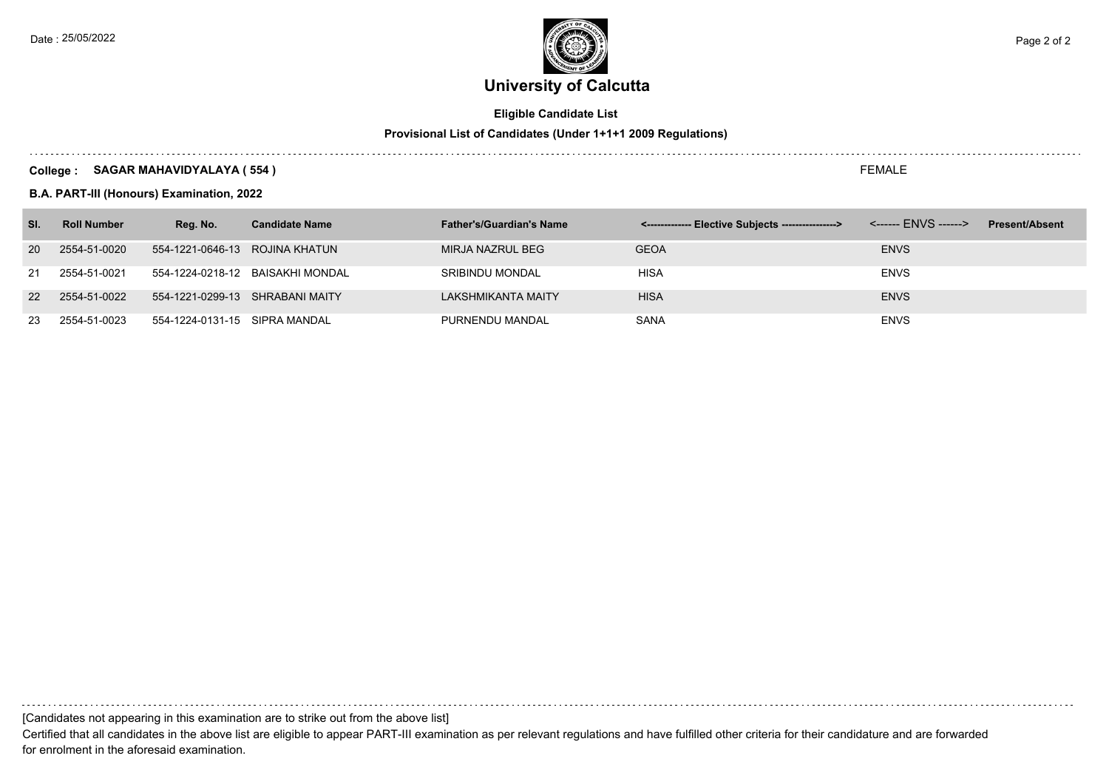

### **Eligible Candidate List**

### **Provisional List of Candidates (Under 1+1+1 2009 Regulations)**

#### **College : SAGAR MAHAVIDYALAYA ( 554 )**

**B.A. PART-III (Honours) Examination, 2022**

| SI.       | <b>Roll Number</b> | Reg. No.                        | <b>Candidate Name</b>            | <b>Father's/Guardian's Name</b> | <-------------- Elective Subjects ----------------> | <b>Present/Absent</b> |
|-----------|--------------------|---------------------------------|----------------------------------|---------------------------------|-----------------------------------------------------|-----------------------|
| <b>20</b> | 2554-51-0020       | 554-1221-0646-13 ROJINA KHATUN  |                                  | MIRJA NAZRUL BEG                | <b>GEOA</b>                                         | <b>ENVS</b>           |
| 21        | 2554-51-0021       |                                 | 554-1224-0218-12 BAISAKHI MONDAL | <b>SRIBINDU MONDAL</b>          | <b>HISA</b>                                         | <b>ENVS</b>           |
|           | 22 2554-51-0022    | 554-1221-0299-13 SHRABANI MAITY |                                  | LAKSHMIKANTA MAITY              | <b>HISA</b>                                         | <b>ENVS</b>           |
| 23        | 2554-51-0023       | 554-1224-0131-15 SIPRA MANDAL   |                                  | PURNENDU MANDAL                 | <b>SANA</b>                                         | <b>ENVS</b>           |

[Candidates not appearing in this examination are to strike out from the above list]

Certified that all candidates in the above list are eligible to appear PART-III examination as per relevant regulations and have fulfilled other criteria for their candidature and are forwarded for enrolment in the aforesaid examination.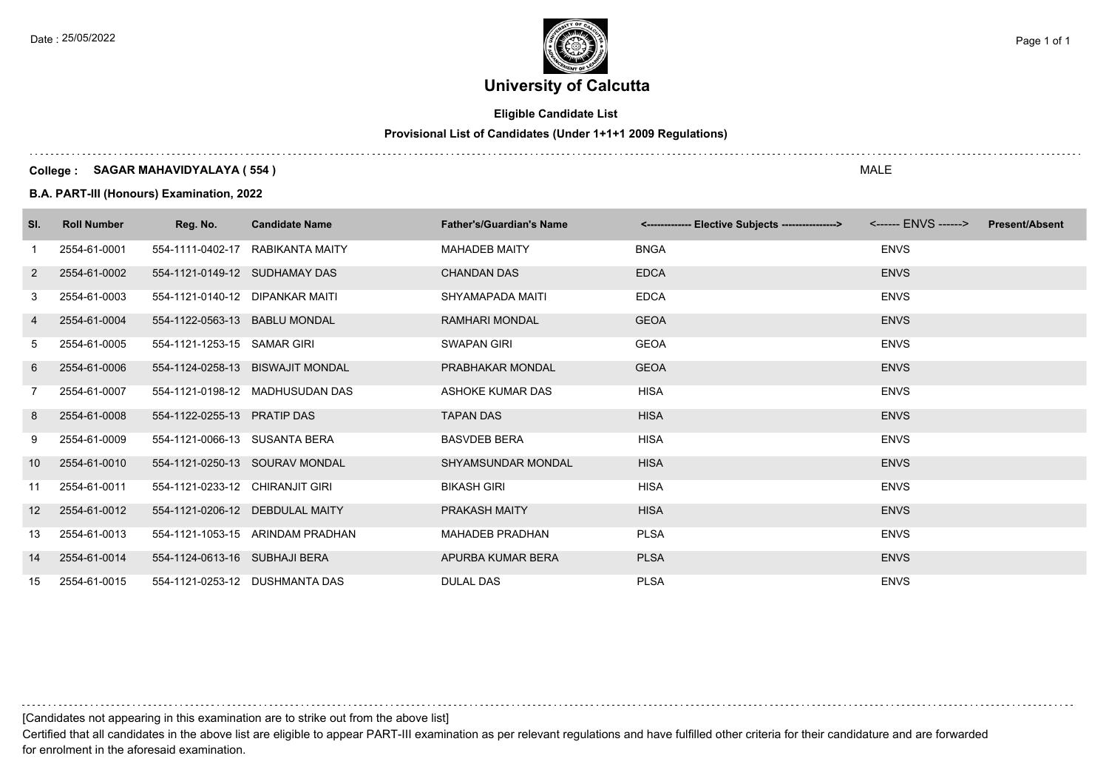

### **Eligible Candidate List**

### **Provisional List of Candidates (Under 1+1+1 2009 Regulations)**

#### **College : SAGAR MAHAVIDYALAYA ( 554 )**

**B.A. PART-III (Honours) Examination, 2022**

| SI.             | <b>Roll Number</b> | Reg. No.                        | <b>Candidate Name</b>            | <b>Father's/Guardian's Name</b> | <-------------- Elective Subjects ----------------> <------ ENVS ------> | <b>Present/Absent</b> |
|-----------------|--------------------|---------------------------------|----------------------------------|---------------------------------|--------------------------------------------------------------------------|-----------------------|
|                 | 2554-61-0001       | 554-1111-0402-17                | RABIKANTA MAITY                  | <b>MAHADEB MAITY</b>            | <b>BNGA</b>                                                              | <b>ENVS</b>           |
| 2               | 2554-61-0002       | 554-1121-0149-12 SUDHAMAY DAS   |                                  | <b>CHANDAN DAS</b>              | <b>EDCA</b>                                                              | <b>ENVS</b>           |
| 3               | 2554-61-0003       | 554-1121-0140-12 DIPANKAR MAITI |                                  | SHYAMAPADA MAITI                | <b>EDCA</b>                                                              | <b>ENVS</b>           |
| $\overline{4}$  | 2554-61-0004       | 554-1122-0563-13 BABLU MONDAL   |                                  | <b>RAMHARI MONDAL</b>           | <b>GEOA</b>                                                              | <b>ENVS</b>           |
| 5               | 2554-61-0005       | 554-1121-1253-15 SAMAR GIRI     |                                  | <b>SWAPAN GIRI</b>              | GEOA                                                                     | <b>ENVS</b>           |
| 6               | 2554-61-0006       |                                 | 554-1124-0258-13 BISWAJIT MONDAL | PRABHAKAR MONDAL                | <b>GEOA</b>                                                              | <b>ENVS</b>           |
| 7               | 2554-61-0007       |                                 | 554-1121-0198-12 MADHUSUDAN DAS  | ASHOKE KUMAR DAS                | HISA                                                                     | <b>ENVS</b>           |
| 8               | 2554-61-0008       | 554-1122-0255-13 PRATIP DAS     |                                  | <b>TAPAN DAS</b>                | <b>HISA</b>                                                              | <b>ENVS</b>           |
| 9               | 2554-61-0009       | 554-1121-0066-13 SUSANTA BERA   |                                  | <b>BASVDEB BERA</b>             | <b>HISA</b>                                                              | <b>ENVS</b>           |
| 10              | 2554-61-0010       |                                 | 554-1121-0250-13 SOURAV MONDAL   | <b>SHYAMSUNDAR MONDAL</b>       | <b>HISA</b>                                                              | <b>ENVS</b>           |
| 11              | 2554-61-0011       | 554-1121-0233-12 CHIRANJIT GIRI |                                  | <b>BIKASH GIRI</b>              | <b>HISA</b>                                                              | <b>ENVS</b>           |
| 12 <sup>°</sup> | 2554-61-0012       |                                 | 554-1121-0206-12 DEBDULAL MAITY  | <b>PRAKASH MAITY</b>            | <b>HISA</b>                                                              | <b>ENVS</b>           |
| 13              | 2554-61-0013       |                                 | 554-1121-1053-15 ARINDAM PRADHAN | <b>MAHADEB PRADHAN</b>          | <b>PLSA</b>                                                              | <b>ENVS</b>           |
| 14              | 2554-61-0014       | 554-1124-0613-16 SUBHAJI BERA   |                                  | APURBA KUMAR BERA               | <b>PLSA</b>                                                              | <b>ENVS</b>           |
| 15              | 2554-61-0015       |                                 | 554-1121-0253-12 DUSHMANTA DAS   | <b>DULAL DAS</b>                | <b>PLSA</b>                                                              | <b>ENVS</b>           |

[Candidates not appearing in this examination are to strike out from the above list]

Certified that all candidates in the above list are eligible to appear PART-III examination as per relevant regulations and have fulfilled other criteria for their candidature and are forwarded for enrolment in the aforesaid examination.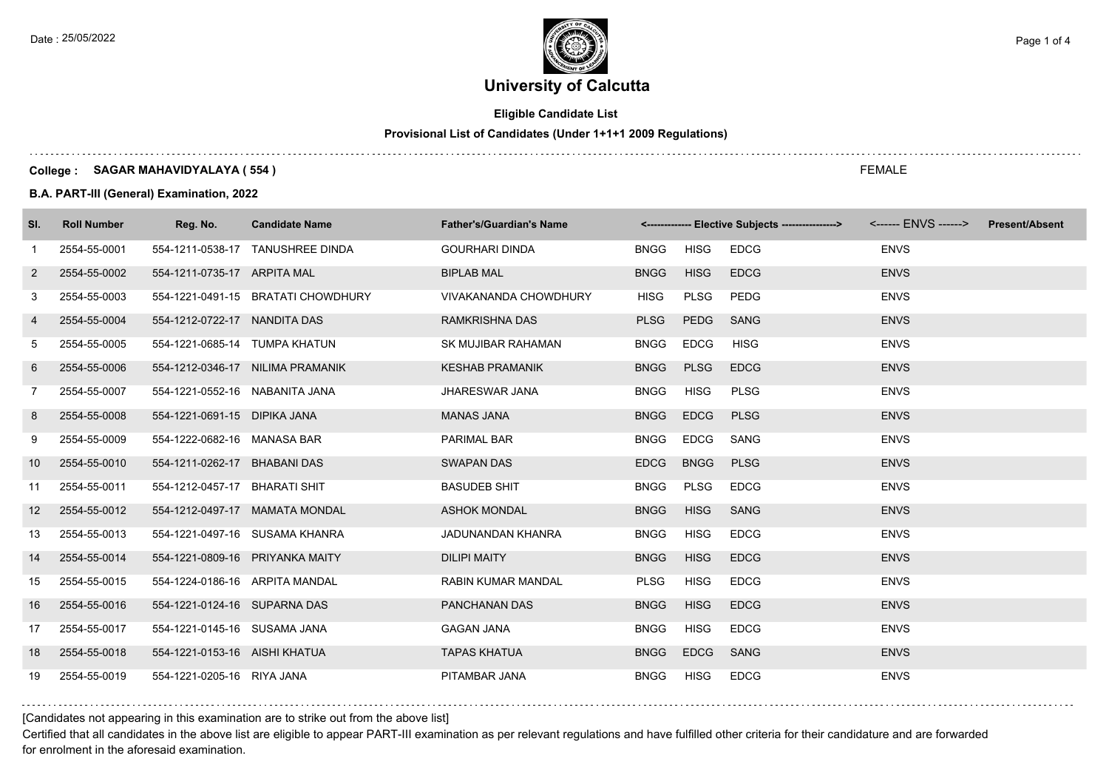

### **Eligible Candidate List**

### **Provisional List of Candidates (Under 1+1+1 2009 Regulations)**

#### **College : SAGAR MAHAVIDYALAYA ( 554 )**

**B.A. PART-III (General) Examination, 2022**

| SI.                   | <b>Roll Number</b> | Reg. No.                       | <b>Candidate Name</b>              | <b>Father's/Guardian's Name</b> |             |             | <-------------- Elective Subjects ----------------> |             | <b>Present/Absent</b> |
|-----------------------|--------------------|--------------------------------|------------------------------------|---------------------------------|-------------|-------------|-----------------------------------------------------|-------------|-----------------------|
| -1                    | 2554-55-0001       |                                | 554-1211-0538-17 TANUSHREE DINDA   | <b>GOURHARI DINDA</b>           | <b>BNGG</b> | <b>HISG</b> | <b>EDCG</b>                                         | <b>ENVS</b> |                       |
| $\mathbf{2}^{\prime}$ | 2554-55-0002       | 554-1211-0735-17 ARPITA MAL    |                                    | <b>BIPLAB MAL</b>               | <b>BNGG</b> | <b>HISG</b> | <b>EDCG</b>                                         | <b>ENVS</b> |                       |
| 3                     | 2554-55-0003       |                                | 554-1221-0491-15 BRATATI CHOWDHURY | <b>VIVAKANANDA CHOWDHURY</b>    | <b>HISG</b> | PLSG        | PEDG                                                | <b>ENVS</b> |                       |
| 4                     | 2554-55-0004       | 554-1212-0722-17 NANDITA DAS   |                                    | RAMKRISHNA DAS                  | <b>PLSG</b> | <b>PEDG</b> | <b>SANG</b>                                         | <b>ENVS</b> |                       |
| 5                     | 2554-55-0005       | 554-1221-0685-14 TUMPA KHATUN  |                                    | SK MUJIBAR RAHAMAN              | <b>BNGG</b> | <b>EDCG</b> | <b>HISG</b>                                         | <b>ENVS</b> |                       |
| 6                     | 2554-55-0006       |                                | 554-1212-0346-17 NILIMA PRAMANIK   | <b>KESHAB PRAMANIK</b>          | <b>BNGG</b> | <b>PLSG</b> | <b>EDCG</b>                                         | <b>ENVS</b> |                       |
| $\overline{7}$        | 2554-55-0007       | 554-1221-0552-16 NABANITA JANA |                                    | <b>JHARESWAR JANA</b>           | <b>BNGG</b> | <b>HISG</b> | <b>PLSG</b>                                         | <b>ENVS</b> |                       |
| 8                     | 2554-55-0008       | 554-1221-0691-15 DIPIKA JANA   |                                    | <b>MANAS JANA</b>               | <b>BNGG</b> | <b>EDCG</b> | <b>PLSG</b>                                         | <b>ENVS</b> |                       |
| 9                     | 2554-55-0009       | 554-1222-0682-16 MANASA BAR    |                                    | PARIMAL BAR                     | <b>BNGG</b> | <b>EDCG</b> | <b>SANG</b>                                         | <b>ENVS</b> |                       |
| 10                    | 2554-55-0010       | 554-1211-0262-17 BHABANI DAS   |                                    | <b>SWAPAN DAS</b>               | <b>EDCG</b> | <b>BNGG</b> | <b>PLSG</b>                                         | <b>ENVS</b> |                       |
| 11                    | 2554-55-0011       | 554-1212-0457-17 BHARATI SHIT  |                                    | <b>BASUDEB SHIT</b>             | <b>BNGG</b> | PLSG        | <b>EDCG</b>                                         | <b>ENVS</b> |                       |
| 12                    | 2554-55-0012       |                                | 554-1212-0497-17 MAMATA MONDAL     | <b>ASHOK MONDAL</b>             | <b>BNGG</b> | <b>HISG</b> | <b>SANG</b>                                         | <b>ENVS</b> |                       |
| 13                    | 2554-55-0013       |                                | 554-1221-0497-16 SUSAMA KHANRA     | JADUNANDAN KHANRA               | <b>BNGG</b> | <b>HISG</b> | <b>EDCG</b>                                         | <b>ENVS</b> |                       |
| 14                    | 2554-55-0014       |                                | 554-1221-0809-16 PRIYANKA MAITY    | <b>DILIPI MAITY</b>             | <b>BNGG</b> | <b>HISG</b> | <b>EDCG</b>                                         | <b>ENVS</b> |                       |
| 15                    | 2554-55-0015       | 554-1224-0186-16 ARPITA MANDAL |                                    | <b>RABIN KUMAR MANDAL</b>       | <b>PLSG</b> | HISG        | <b>EDCG</b>                                         | <b>ENVS</b> |                       |
| 16                    | 2554-55-0016       | 554-1221-0124-16 SUPARNA DAS   |                                    | PANCHANAN DAS                   | <b>BNGG</b> | <b>HISG</b> | <b>EDCG</b>                                         | <b>ENVS</b> |                       |
| 17                    | 2554-55-0017       | 554-1221-0145-16 SUSAMA JANA   |                                    | <b>GAGAN JANA</b>               | <b>BNGG</b> | <b>HISG</b> | <b>EDCG</b>                                         | <b>ENVS</b> |                       |
| 18                    | 2554-55-0018       | 554-1221-0153-16 AISHI KHATUA  |                                    | <b>TAPAS KHATUA</b>             | <b>BNGG</b> | <b>EDCG</b> | <b>SANG</b>                                         | <b>ENVS</b> |                       |
| 19                    | 2554-55-0019       | 554-1221-0205-16 RIYA JANA     |                                    | PITAMBAR JANA                   | <b>BNGG</b> | HISG        | <b>EDCG</b>                                         | <b>ENVS</b> |                       |

#### [Candidates not appearing in this examination are to strike out from the above list]

Certified that all candidates in the above list are eligible to appear PART-III examination as per relevant regulations and have fulfilled other criteria for their candidature and are forwarded for enrolment in the aforesaid examination.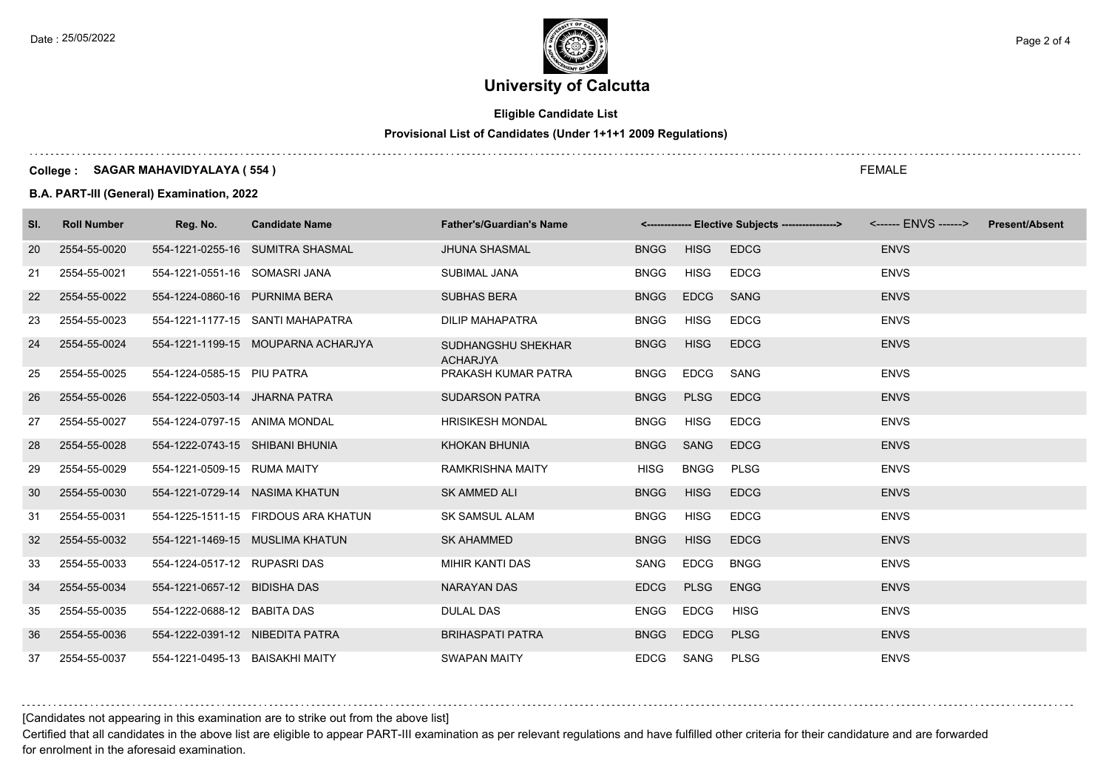

### **Eligible Candidate List**

### **Provisional List of Candidates (Under 1+1+1 2009 Regulations)**

#### **College : SAGAR MAHAVIDYALAYA ( 554 )**

#### **B.A. PART-III (General) Examination, 2022**

| SI. | <b>Roll Number</b> | Reg. No.                        | <b>Candidate Name</b>               | <b>Father's/Guardian's Name</b>       |             |             | <-------------- Elective Subjects ---------------> <------ ENVS ------> Present/Absent |             |  |
|-----|--------------------|---------------------------------|-------------------------------------|---------------------------------------|-------------|-------------|----------------------------------------------------------------------------------------|-------------|--|
| 20  | 2554-55-0020       |                                 | 554-1221-0255-16 SUMITRA SHASMAL    | <b>JHUNA SHASMAL</b>                  | <b>BNGG</b> | <b>HISG</b> | <b>EDCG</b>                                                                            | <b>ENVS</b> |  |
| 21  | 2554-55-0021       | 554-1221-0551-16 SOMASRI JANA   |                                     | SUBIMAL JANA                          | <b>BNGG</b> | HISG        | <b>EDCG</b>                                                                            | <b>ENVS</b> |  |
| 22  | 2554-55-0022       | 554-1224-0860-16 PURNIMA BERA   |                                     | <b>SUBHAS BERA</b>                    | <b>BNGG</b> | <b>EDCG</b> | SANG                                                                                   | <b>ENVS</b> |  |
| 23  | 2554-55-0023       |                                 | 554-1221-1177-15 SANTI MAHAPATRA    | <b>DILIP MAHAPATRA</b>                | <b>BNGG</b> | HISG        | <b>EDCG</b>                                                                            | <b>ENVS</b> |  |
| 24  | 2554-55-0024       |                                 | 554-1221-1199-15 MOUPARNA ACHARJYA  | SUDHANGSHU SHEKHAR<br><b>ACHARJYA</b> | <b>BNGG</b> | <b>HISG</b> | <b>EDCG</b>                                                                            | <b>ENVS</b> |  |
| 25  | 2554-55-0025       | 554-1224-0585-15 PIU PATRA      |                                     | PRAKASH KUMAR PATRA                   | <b>BNGG</b> | <b>EDCG</b> | SANG                                                                                   | <b>ENVS</b> |  |
| 26  | 2554-55-0026       | 554-1222-0503-14 JHARNA PATRA   |                                     | <b>SUDARSON PATRA</b>                 | <b>BNGG</b> | <b>PLSG</b> | <b>EDCG</b>                                                                            | <b>ENVS</b> |  |
| 27  | 2554-55-0027       | 554-1224-0797-15 ANIMA MONDAL   |                                     | <b>HRISIKESH MONDAL</b>               | <b>BNGG</b> | HISG        | <b>EDCG</b>                                                                            | <b>ENVS</b> |  |
| 28  | 2554-55-0028       | 554-1222-0743-15 SHIBANI BHUNIA |                                     | <b>KHOKAN BHUNIA</b>                  | <b>BNGG</b> | SANG        | <b>EDCG</b>                                                                            | <b>ENVS</b> |  |
| 29  | 2554-55-0029       | 554-1221-0509-15 RUMA MAITY     |                                     | <b>RAMKRISHNA MAITY</b>               | HISG        | <b>BNGG</b> | <b>PLSG</b>                                                                            | <b>ENVS</b> |  |
| 30  | 2554-55-0030       | 554-1221-0729-14 NASIMA KHATUN  |                                     | SK AMMED ALI                          | <b>BNGG</b> | <b>HISG</b> | <b>EDCG</b>                                                                            | <b>ENVS</b> |  |
| 31  | 2554-55-0031       |                                 | 554-1225-1511-15 FIRDOUS ARA KHATUN | <b>SK SAMSUL ALAM</b>                 | <b>BNGG</b> | HISG        | <b>EDCG</b>                                                                            | <b>ENVS</b> |  |
| 32  | 2554-55-0032       |                                 | 554-1221-1469-15 MUSLIMA KHATUN     | <b>SK AHAMMED</b>                     | <b>BNGG</b> | <b>HISG</b> | <b>EDCG</b>                                                                            | <b>ENVS</b> |  |
| 33  | 2554-55-0033       | 554-1224-0517-12 RUPASRI DAS    |                                     | MIHIR KANTI DAS                       | SANG        | <b>EDCG</b> | <b>BNGG</b>                                                                            | <b>ENVS</b> |  |
| 34  | 2554-55-0034       | 554-1221-0657-12 BIDISHA DAS    |                                     | <b>NARAYAN DAS</b>                    | <b>EDCG</b> | <b>PLSG</b> | <b>ENGG</b>                                                                            | <b>ENVS</b> |  |
| 35  | 2554-55-0035       | 554-1222-0688-12 BABITA DAS     |                                     | <b>DULAL DAS</b>                      | <b>ENGG</b> | <b>EDCG</b> | <b>HISG</b>                                                                            | <b>ENVS</b> |  |
| 36  | 2554-55-0036       | 554-1222-0391-12 NIBEDITA PATRA |                                     | <b>BRIHASPATI PATRA</b>               | <b>BNGG</b> | <b>EDCG</b> | <b>PLSG</b>                                                                            | <b>ENVS</b> |  |
| 37  | 2554-55-0037       | 554-1221-0495-13 BAISAKHI MAITY |                                     | <b>SWAPAN MAITY</b>                   |             | EDCG SANG   | <b>PLSG</b>                                                                            | <b>ENVS</b> |  |

### [Candidates not appearing in this examination are to strike out from the above list]

Certified that all candidates in the above list are eligible to appear PART-III examination as per relevant regulations and have fulfilled other criteria for their candidature and are forwarded for enrolment in the aforesaid examination.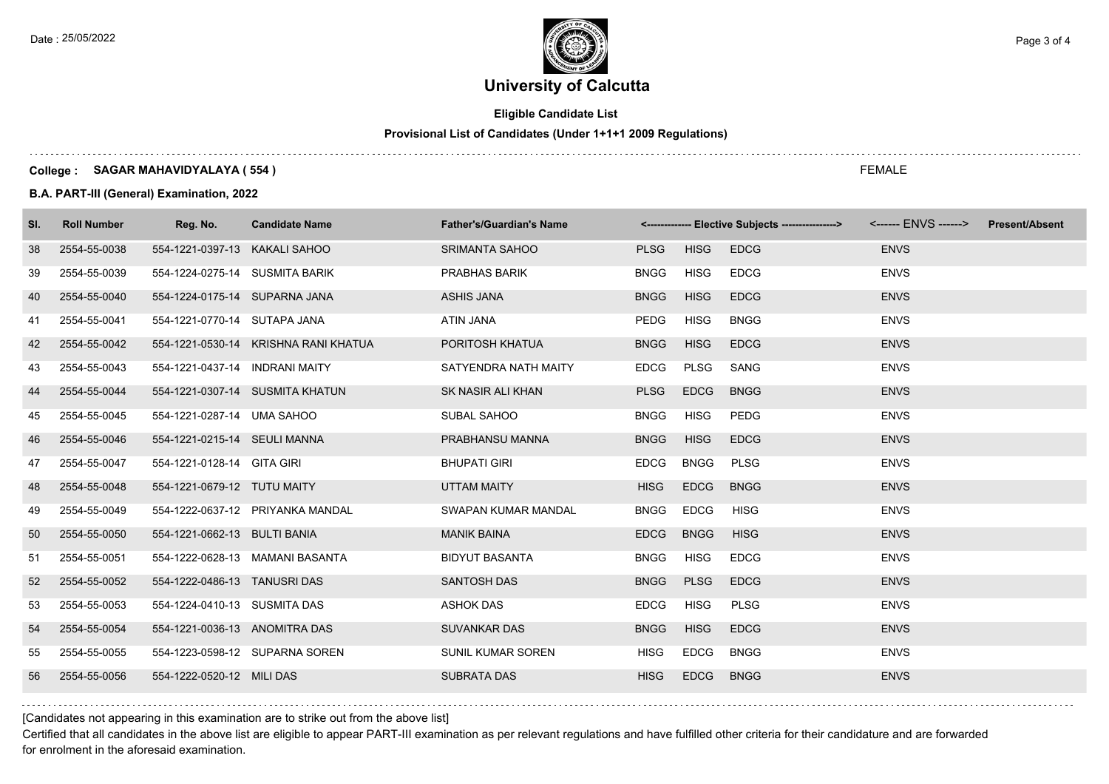

### **Eligible Candidate List**

### **Provisional List of Candidates (Under 1+1+1 2009 Regulations)**

#### **College : SAGAR MAHAVIDYALAYA ( 554 )**

**B.A. PART-III (General) Examination, 2022**

| SI. | <b>Roll Number</b> | Reg. No.                       | <b>Candidate Name</b>                | <b>Father's/Guardian's Name</b> |             |             | <-------------- Elective Subjects ----------------> <------ ENVS ------> |             | <b>Present/Absent</b> |
|-----|--------------------|--------------------------------|--------------------------------------|---------------------------------|-------------|-------------|--------------------------------------------------------------------------|-------------|-----------------------|
| 38  | 2554-55-0038       | 554-1221-0397-13 KAKALI SAHOO  |                                      | <b>SRIMANTA SAHOO</b>           | <b>PLSG</b> | <b>HISG</b> | <b>EDCG</b>                                                              | <b>ENVS</b> |                       |
| 39  | 2554-55-0039       | 554-1224-0275-14 SUSMITA BARIK |                                      | PRABHAS BARIK                   | <b>BNGG</b> | <b>HISG</b> | <b>EDCG</b>                                                              | <b>ENVS</b> |                       |
| 40  | 2554-55-0040       | 554-1224-0175-14 SUPARNA JANA  |                                      | <b>ASHIS JANA</b>               | <b>BNGG</b> | <b>HISG</b> | <b>EDCG</b>                                                              | <b>ENVS</b> |                       |
| 41  | 2554-55-0041       | 554-1221-0770-14 SUTAPA JANA   |                                      | ATIN JANA                       | PEDG        | <b>HISG</b> | <b>BNGG</b>                                                              | <b>ENVS</b> |                       |
| 42  | 2554-55-0042       |                                | 554-1221-0530-14 KRISHNA RANI KHATUA | PORITOSH KHATUA                 | <b>BNGG</b> | <b>HISG</b> | <b>EDCG</b>                                                              | <b>ENVS</b> |                       |
| 43  | 2554-55-0043       | 554-1221-0437-14 INDRANI MAITY |                                      | SATYENDRA NATH MAITY            | <b>EDCG</b> | PLSG        | SANG                                                                     | <b>ENVS</b> |                       |
| 44  | 2554-55-0044       |                                | 554-1221-0307-14 SUSMITA KHATUN      | SK NASIR ALI KHAN               | <b>PLSG</b> | <b>EDCG</b> | <b>BNGG</b>                                                              | <b>ENVS</b> |                       |
| 45  | 2554-55-0045       | 554-1221-0287-14 UMA SAHOO     |                                      | SUBAL SAHOO                     | <b>BNGG</b> | <b>HISG</b> | PEDG                                                                     | <b>ENVS</b> |                       |
| 46  | 2554-55-0046       | 554-1221-0215-14 SEULI MANNA   |                                      | PRABHANSU MANNA                 | <b>BNGG</b> | <b>HISG</b> | <b>EDCG</b>                                                              | <b>ENVS</b> |                       |
| 47  | 2554-55-0047       | 554-1221-0128-14 GITA GIRI     |                                      | <b>BHUPATI GIRI</b>             | <b>EDCG</b> | <b>BNGG</b> | <b>PLSG</b>                                                              | <b>ENVS</b> |                       |
| 48  | 2554-55-0048       | 554-1221-0679-12 TUTU MAITY    |                                      | <b>UTTAM MAITY</b>              | <b>HISG</b> | <b>EDCG</b> | <b>BNGG</b>                                                              | <b>ENVS</b> |                       |
| 49  | 2554-55-0049       |                                | 554-1222-0637-12 PRIYANKA MANDAL     | SWAPAN KUMAR MANDAL             | <b>BNGG</b> | <b>EDCG</b> | <b>HISG</b>                                                              | <b>ENVS</b> |                       |
| 50  | 2554-55-0050       | 554-1221-0662-13 BULTI BANIA   |                                      | <b>MANIK BAINA</b>              | <b>EDCG</b> | <b>BNGG</b> | <b>HISG</b>                                                              | <b>ENVS</b> |                       |
| 51  | 2554-55-0051       |                                | 554-1222-0628-13 MAMANI BASANTA      | <b>BIDYUT BASANTA</b>           | <b>BNGG</b> | <b>HISG</b> | <b>EDCG</b>                                                              | <b>ENVS</b> |                       |
| 52  | 2554-55-0052       | 554-1222-0486-13 TANUSRI DAS   |                                      | <b>SANTOSH DAS</b>              | <b>BNGG</b> | <b>PLSG</b> | <b>EDCG</b>                                                              | <b>ENVS</b> |                       |
| 53  | 2554-55-0053       | 554-1224-0410-13 SUSMITA DAS   |                                      | <b>ASHOK DAS</b>                | <b>EDCG</b> | <b>HISG</b> | <b>PLSG</b>                                                              | <b>ENVS</b> |                       |
| 54  | 2554-55-0054       | 554-1221-0036-13 ANOMITRA DAS  |                                      | <b>SUVANKAR DAS</b>             | <b>BNGG</b> | <b>HISG</b> | <b>EDCG</b>                                                              | <b>ENVS</b> |                       |
| 55  | 2554-55-0055       |                                | 554-1223-0598-12 SUPARNA SOREN       | SUNIL KUMAR SOREN               | <b>HISG</b> | EDCG        | <b>BNGG</b>                                                              | <b>ENVS</b> |                       |
| 56  | 2554-55-0056       | 554-1222-0520-12 MILI DAS      |                                      | <b>SUBRATA DAS</b>              | <b>HISG</b> | <b>EDCG</b> | <b>BNGG</b>                                                              | <b>ENVS</b> |                       |

[Candidates not appearing in this examination are to strike out from the above list]

Certified that all candidates in the above list are eligible to appear PART-III examination as per relevant regulations and have fulfilled other criteria for their candidature and are forwarded for enrolment in the aforesaid examination.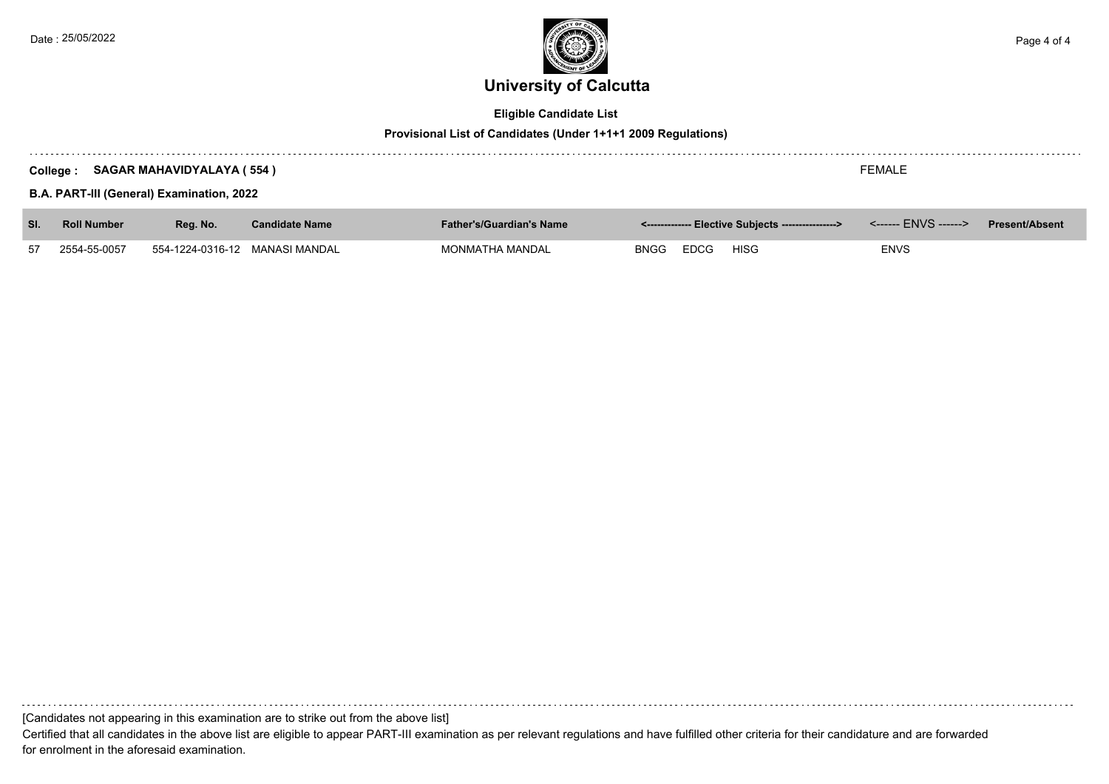

### **Eligible Candidate List**

#### **Provisional List of Candidates (Under 1+1+1 2009 Regulations)**

|     | <b>SAGAR MAHAVIDYALAYA (554)</b><br>College:<br><b>B.A. PART-III (General) Examination, 2022</b> | <b>FEMALE</b>                  |                       |                                 |                                                     |                       |
|-----|--------------------------------------------------------------------------------------------------|--------------------------------|-----------------------|---------------------------------|-----------------------------------------------------|-----------------------|
| SI. | <b>Roll Number</b>                                                                               | Reg. No.                       | <b>Candidate Name</b> | <b>Father's/Guardian's Name</b> | <-------------- Elective Subjects ----------------> | <b>Present/Absent</b> |
| 57  | 2554-55-0057                                                                                     | 554-1224-0316-12 MANASI MANDAL |                       | MONMATHA MANDAL                 | <b>EDCG</b><br><b>HISG</b><br><b>BNGG</b>           | <b>ENVS</b>           |

[Candidates not appearing in this examination are to strike out from the above list]

Certified that all candidates in the above list are eligible to appear PART-III examination as per relevant regulations and have fulfilled other criteria for their candidature and are forwarded for enrolment in the aforesaid examination.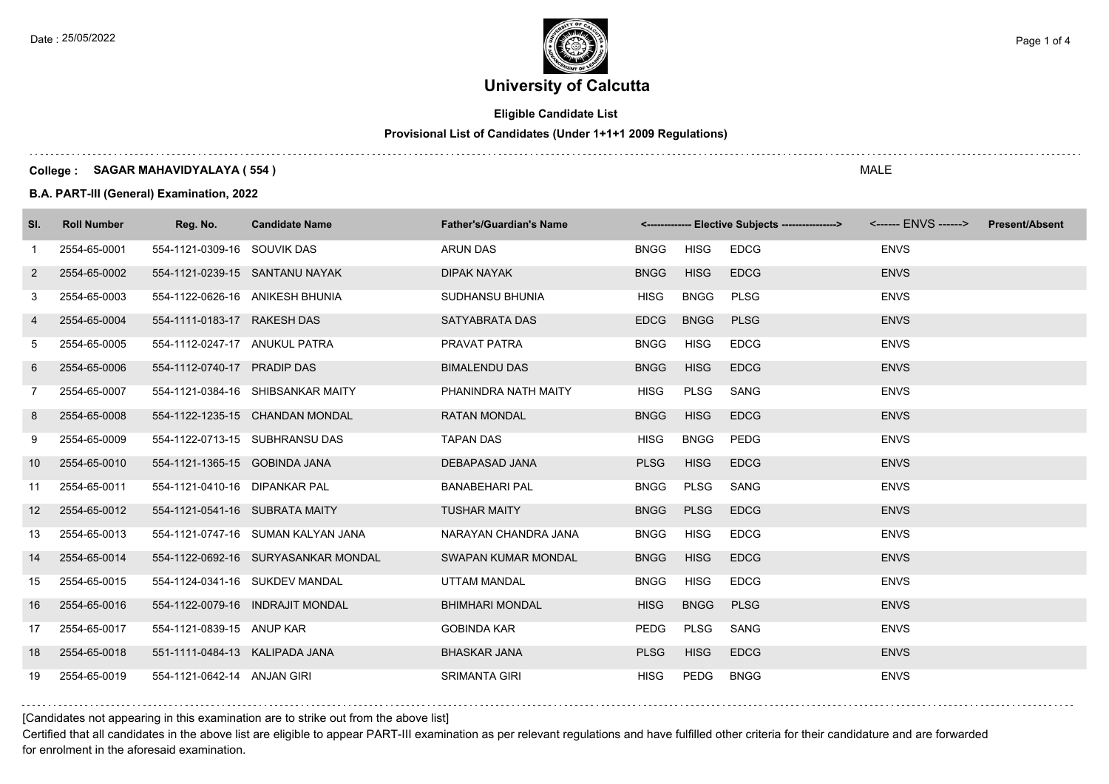

### **Eligible Candidate List**

### **Provisional List of Candidates (Under 1+1+1 2009 Regulations)**

#### **College : SAGAR MAHAVIDYALAYA ( 554 )**

**B.A. PART-III (General) Examination, 2022**

| SI.             | <b>Roll Number</b> | Reg. No.                       | <b>Candidate Name</b>               | <b>Father's/Guardian's Name</b> |             |             | <-------------- Elective Subjects ----------------> |             | <b>Present/Absent</b> |
|-----------------|--------------------|--------------------------------|-------------------------------------|---------------------------------|-------------|-------------|-----------------------------------------------------|-------------|-----------------------|
| $\mathbf{1}$    | 2554-65-0001       | 554-1121-0309-16 SOUVIK DAS    |                                     | <b>ARUN DAS</b>                 | <b>BNGG</b> | <b>HISG</b> | <b>EDCG</b>                                         | <b>ENVS</b> |                       |
| 2               | 2554-65-0002       |                                | 554-1121-0239-15 SANTANU NAYAK      | <b>DIPAK NAYAK</b>              | <b>BNGG</b> | <b>HISG</b> | <b>EDCG</b>                                         | <b>ENVS</b> |                       |
| 3               | 2554-65-0003       |                                | 554-1122-0626-16 ANIKESH BHUNIA     | SUDHANSU BHUNIA                 | <b>HISG</b> | <b>BNGG</b> | <b>PLSG</b>                                         | <b>ENVS</b> |                       |
| 4               | 2554-65-0004       | 554-1111-0183-17 RAKESH DAS    |                                     | SATYABRATA DAS                  | <b>EDCG</b> | <b>BNGG</b> | <b>PLSG</b>                                         | <b>ENVS</b> |                       |
| 5               | 2554-65-0005       | 554-1112-0247-17 ANUKUL PATRA  |                                     | PRAVAT PATRA                    | <b>BNGG</b> | <b>HISG</b> | <b>EDCG</b>                                         | <b>ENVS</b> |                       |
| 6               | 2554-65-0006       | 554-1112-0740-17 PRADIP DAS    |                                     | <b>BIMALENDU DAS</b>            | <b>BNGG</b> | <b>HISG</b> | <b>EDCG</b>                                         | <b>ENVS</b> |                       |
| 7               | 2554-65-0007       |                                | 554-1121-0384-16 SHIBSANKAR MAITY   | PHANINDRA NATH MAITY            | <b>HISG</b> | PLSG        | SANG                                                | <b>ENVS</b> |                       |
| 8               | 2554-65-0008       |                                | 554-1122-1235-15 CHANDAN MONDAL     | <b>RATAN MONDAL</b>             | <b>BNGG</b> | <b>HISG</b> | <b>EDCG</b>                                         | <b>ENVS</b> |                       |
| 9               | 2554-65-0009       |                                | 554-1122-0713-15 SUBHRANSU DAS      | <b>TAPAN DAS</b>                | <b>HISG</b> | <b>BNGG</b> | <b>PEDG</b>                                         | <b>ENVS</b> |                       |
| 10 <sup>°</sup> | 2554-65-0010       | 554-1121-1365-15 GOBINDA JANA  |                                     | <b>DEBAPASAD JANA</b>           | <b>PLSG</b> | <b>HISG</b> | <b>EDCG</b>                                         | <b>ENVS</b> |                       |
| 11              | 2554-65-0011       | 554-1121-0410-16 DIPANKAR PAL  |                                     | <b>BANABEHARI PAL</b>           | <b>BNGG</b> | PLSG        | SANG                                                | <b>ENVS</b> |                       |
| 12 <sup>2</sup> | 2554-65-0012       | 554-1121-0541-16 SUBRATA MAITY |                                     | <b>TUSHAR MAITY</b>             | <b>BNGG</b> | <b>PLSG</b> | <b>EDCG</b>                                         | <b>ENVS</b> |                       |
| 13              | 2554-65-0013       |                                | 554-1121-0747-16 SUMAN KALYAN JANA  | NARAYAN CHANDRA JANA            | <b>BNGG</b> | <b>HISG</b> | <b>EDCG</b>                                         | <b>ENVS</b> |                       |
| 14              | 2554-65-0014       |                                | 554-1122-0692-16 SURYASANKAR MONDAL | <b>SWAPAN KUMAR MONDAL</b>      | <b>BNGG</b> | <b>HISG</b> | <b>EDCG</b>                                         | <b>ENVS</b> |                       |
| 15              | 2554-65-0015       |                                | 554-1124-0341-16 SUKDEV MANDAL      | <b>UTTAM MANDAL</b>             | <b>BNGG</b> | <b>HISG</b> | <b>EDCG</b>                                         | <b>ENVS</b> |                       |
| 16              | 2554-65-0016       |                                | 554-1122-0079-16 INDRAJIT MONDAL    | <b>BHIMHARI MONDAL</b>          | <b>HISG</b> | <b>BNGG</b> | <b>PLSG</b>                                         | <b>ENVS</b> |                       |
| 17              | 2554-65-0017       | 554-1121-0839-15 ANUP KAR      |                                     | <b>GOBINDA KAR</b>              | PEDG        | PLSG        | SANG                                                | <b>ENVS</b> |                       |
| 18              | 2554-65-0018       | 551-1111-0484-13 KALIPADA JANA |                                     | <b>BHASKAR JANA</b>             | <b>PLSG</b> | <b>HISG</b> | <b>EDCG</b>                                         | <b>ENVS</b> |                       |
| 19              | 2554-65-0019       | 554-1121-0642-14 ANJAN GIRI    |                                     | <b>SRIMANTA GIRI</b>            | HISG        | PEDG        | <b>BNGG</b>                                         | <b>ENVS</b> |                       |

#### [Candidates not appearing in this examination are to strike out from the above list]

Certified that all candidates in the above list are eligible to appear PART-III examination as per relevant regulations and have fulfilled other criteria for their candidature and are forwarded for enrolment in the aforesaid examination.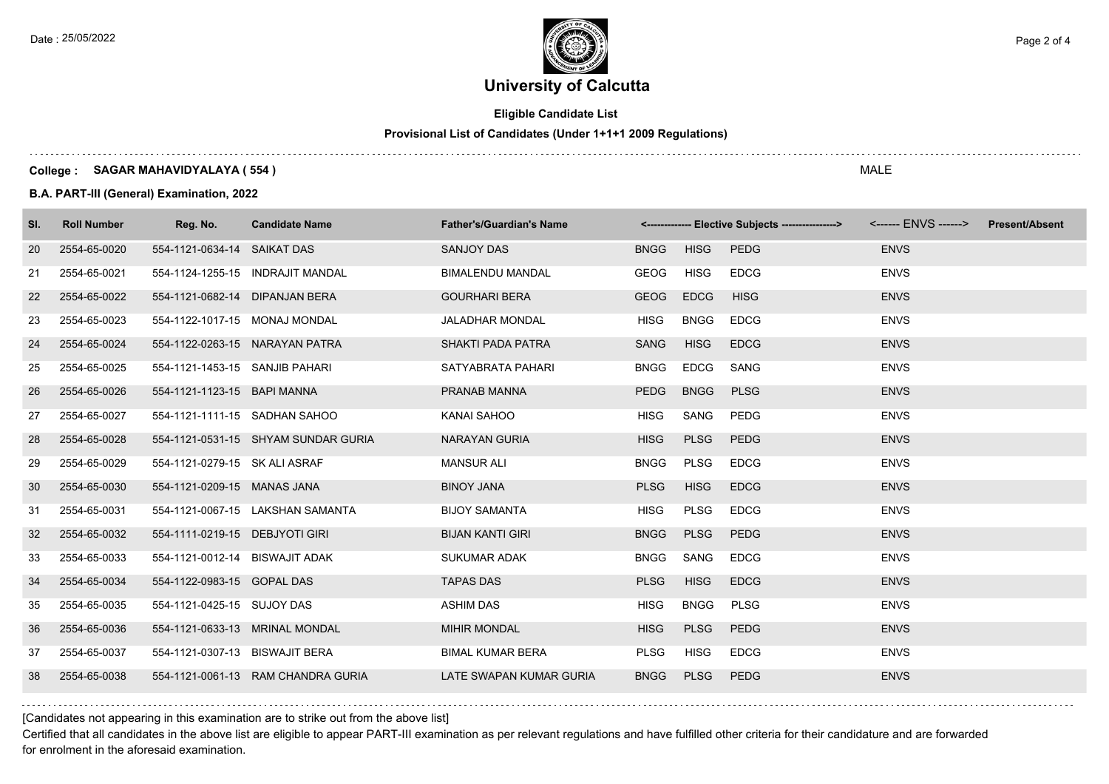

### **Eligible Candidate List**

### **Provisional List of Candidates (Under 1+1+1 2009 Regulations)**

#### **College : SAGAR MAHAVIDYALAYA ( 554 )**

**B.A. PART-III (General) Examination, 2022**

| SI. | <b>Roll Number</b> | Reg. No.                       | <b>Candidate Name</b>               | <b>Father's/Guardian's Name</b> |             |             | <-------------- Elective Subjects ----------------> |             | <b>Present/Absent</b> |
|-----|--------------------|--------------------------------|-------------------------------------|---------------------------------|-------------|-------------|-----------------------------------------------------|-------------|-----------------------|
| 20  | 2554-65-0020       | 554-1121-0634-14 SAIKAT DAS    |                                     | SANJOY DAS                      | <b>BNGG</b> | <b>HISG</b> | <b>PEDG</b>                                         | <b>ENVS</b> |                       |
| 21  | 2554-65-0021       |                                | 554-1124-1255-15 INDRAJIT MANDAL    | <b>BIMALENDU MANDAL</b>         | <b>GEOG</b> | <b>HISG</b> | <b>EDCG</b>                                         | <b>ENVS</b> |                       |
| 22  | 2554-65-0022       | 554-1121-0682-14 DIPANJAN BERA |                                     | <b>GOURHARI BERA</b>            | <b>GEOG</b> | <b>EDCG</b> | <b>HISG</b>                                         | <b>ENVS</b> |                       |
| 23  | 2554-65-0023       | 554-1122-1017-15 MONAJ MONDAL  |                                     | <b>JALADHAR MONDAL</b>          | <b>HISG</b> | <b>BNGG</b> | <b>EDCG</b>                                         | <b>ENVS</b> |                       |
| 24  | 2554-65-0024       |                                | 554-1122-0263-15 NARAYAN PATRA      | <b>SHAKTI PADA PATRA</b>        | <b>SANG</b> | <b>HISG</b> | <b>EDCG</b>                                         | <b>ENVS</b> |                       |
| 25  | 2554-65-0025       | 554-1121-1453-15 SANJIB PAHARI |                                     | SATYABRATA PAHARI               | <b>BNGG</b> | <b>EDCG</b> | SANG                                                | <b>ENVS</b> |                       |
| 26  | 2554-65-0026       | 554-1121-1123-15 BAPI MANNA    |                                     | PRANAB MANNA                    | PEDG        | <b>BNGG</b> | <b>PLSG</b>                                         | <b>ENVS</b> |                       |
| 27  | 2554-65-0027       | 554-1121-1111-15 SADHAN SAHOO  |                                     | KANAI SAHOO                     | <b>HISG</b> | SANG        | PEDG                                                | <b>ENVS</b> |                       |
| 28  | 2554-65-0028       |                                | 554-1121-0531-15 SHYAM SUNDAR GURIA | <b>NARAYAN GURIA</b>            | <b>HISG</b> | <b>PLSG</b> | <b>PEDG</b>                                         | <b>ENVS</b> |                       |
| 29  | 2554-65-0029       | 554-1121-0279-15 SK ALI ASRAF  |                                     | <b>MANSUR ALI</b>               | <b>BNGG</b> | PLSG        | <b>EDCG</b>                                         | <b>ENVS</b> |                       |
| 30  | 2554-65-0030       | 554-1121-0209-15 MANAS JANA    |                                     | <b>BINOY JANA</b>               | <b>PLSG</b> | <b>HISG</b> | <b>EDCG</b>                                         | <b>ENVS</b> |                       |
| 31  | 2554-65-0031       |                                | 554-1121-0067-15 LAKSHAN SAMANTA    | <b>BIJOY SAMANTA</b>            | <b>HISG</b> | <b>PLSG</b> | <b>EDCG</b>                                         | <b>ENVS</b> |                       |
| 32  | 2554-65-0032       | 554-1111-0219-15 DEBJYOTI GIRI |                                     | <b>BIJAN KANTI GIRI</b>         | <b>BNGG</b> | <b>PLSG</b> | PEDG                                                | <b>ENVS</b> |                       |
| 33  | 2554-65-0033       | 554-1121-0012-14 BISWAJIT ADAK |                                     | <b>SUKUMAR ADAK</b>             | <b>BNGG</b> | SANG        | <b>EDCG</b>                                         | <b>ENVS</b> |                       |
| 34  | 2554-65-0034       | 554-1122-0983-15 GOPAL DAS     |                                     | <b>TAPAS DAS</b>                | <b>PLSG</b> | <b>HISG</b> | <b>EDCG</b>                                         | <b>ENVS</b> |                       |
| 35  | 2554-65-0035       | 554-1121-0425-15 SUJOY DAS     |                                     | <b>ASHIM DAS</b>                | <b>HISG</b> | <b>BNGG</b> | <b>PLSG</b>                                         | <b>ENVS</b> |                       |
| 36  | 2554-65-0036       |                                | 554-1121-0633-13 MRINAL MONDAL      | <b>MIHIR MONDAL</b>             | <b>HISG</b> | <b>PLSG</b> | <b>PEDG</b>                                         | <b>ENVS</b> |                       |
| 37  | 2554-65-0037       | 554-1121-0307-13 BISWAJIT BERA |                                     | <b>BIMAL KUMAR BERA</b>         | <b>PLSG</b> | <b>HISG</b> | <b>EDCG</b>                                         | <b>ENVS</b> |                       |
| 38  | 2554-65-0038       |                                | 554-1121-0061-13 RAM CHANDRA GURIA  | LATE SWAPAN KUMAR GURIA         | <b>BNGG</b> | <b>PLSG</b> | PEDG                                                | <b>ENVS</b> |                       |

[Candidates not appearing in this examination are to strike out from the above list]

Certified that all candidates in the above list are eligible to appear PART-III examination as per relevant regulations and have fulfilled other criteria for their candidature and are forwarded for enrolment in the aforesaid examination.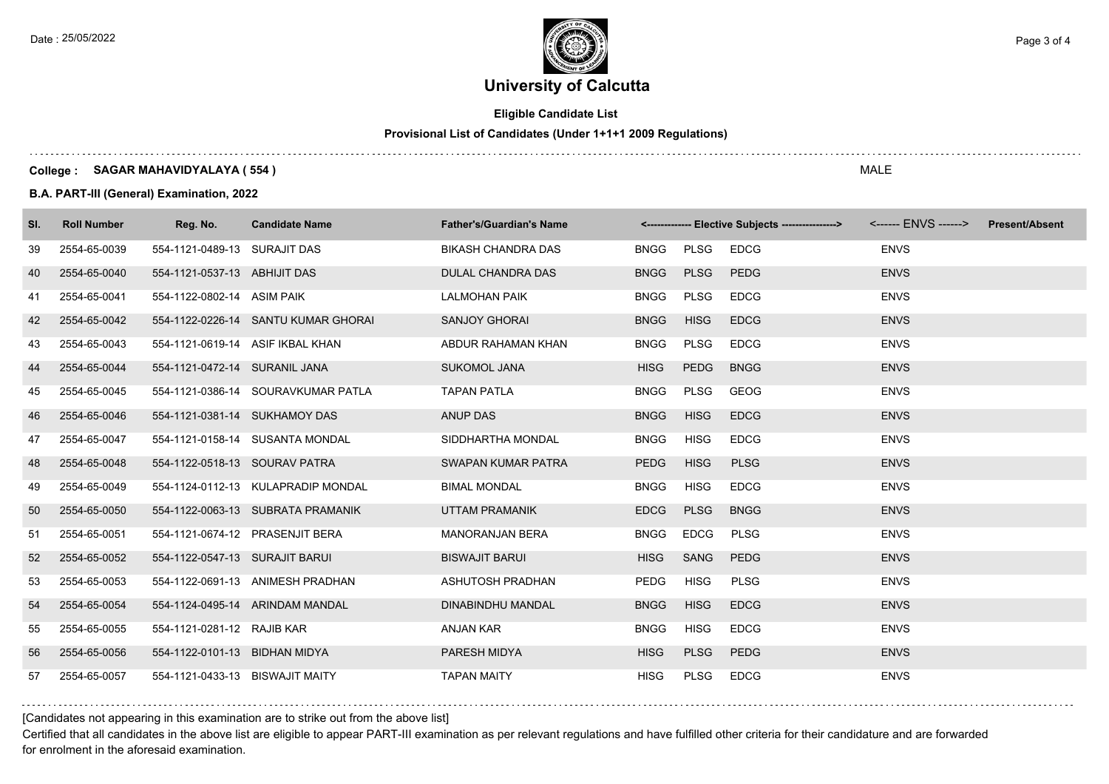

### **Eligible Candidate List**

### **Provisional List of Candidates (Under 1+1+1 2009 Regulations)**

#### **College : SAGAR MAHAVIDYALAYA ( 554 )**

**B.A. PART-III (General) Examination, 2022**

| SI. | <b>Roll Number</b> | Reg. No.                        | <b>Candidate Name</b>               | <b>Father's/Guardian's Name</b> |             |             | <-------------- Elective Subjects ----------------> <------ ENVS ------> Present/Absent |             |  |
|-----|--------------------|---------------------------------|-------------------------------------|---------------------------------|-------------|-------------|-----------------------------------------------------------------------------------------|-------------|--|
| 39  | 2554-65-0039       | 554-1121-0489-13 SURAJIT DAS    |                                     | <b>BIKASH CHANDRA DAS</b>       | <b>BNGG</b> | PLSG        | <b>EDCG</b>                                                                             | <b>ENVS</b> |  |
| 40  | 2554-65-0040       | 554-1121-0537-13 ABHIJIT DAS    |                                     | DULAL CHANDRA DAS               | <b>BNGG</b> | <b>PLSG</b> | <b>PEDG</b>                                                                             | <b>ENVS</b> |  |
| 41  | 2554-65-0041       | 554-1122-0802-14 ASIM PAIK      |                                     | <b>LALMOHAN PAIK</b>            | <b>BNGG</b> | PLSG        | <b>EDCG</b>                                                                             | <b>ENVS</b> |  |
| 42  | 2554-65-0042       |                                 | 554-1122-0226-14 SANTU KUMAR GHORAI | <b>SANJOY GHORAI</b>            | <b>BNGG</b> | <b>HISG</b> | <b>EDCG</b>                                                                             | <b>ENVS</b> |  |
| 43  | 2554-65-0043       |                                 | 554-1121-0619-14 ASIF IKBAL KHAN    | ABDUR RAHAMAN KHAN              | <b>BNGG</b> | PLSG        | <b>EDCG</b>                                                                             | <b>ENVS</b> |  |
| 44  | 2554-65-0044       | 554-1121-0472-14 SURANIL JANA   |                                     | <b>SUKOMOL JANA</b>             | <b>HISG</b> | <b>PEDG</b> | <b>BNGG</b>                                                                             | <b>ENVS</b> |  |
| 45  | 2554-65-0045       |                                 | 554-1121-0386-14 SOURAVKUMAR PATLA  | <b>TAPAN PATLA</b>              | <b>BNGG</b> | PLSG        | GEOG                                                                                    | <b>ENVS</b> |  |
| 46  | 2554-65-0046       | 554-1121-0381-14 SUKHAMOY DAS   |                                     | ANUP DAS                        | <b>BNGG</b> | <b>HISG</b> | <b>EDCG</b>                                                                             | <b>ENVS</b> |  |
| 47  | 2554-65-0047       |                                 | 554-1121-0158-14 SUSANTA MONDAL     | SIDDHARTHA MONDAL               | <b>BNGG</b> | <b>HISG</b> | <b>EDCG</b>                                                                             | <b>ENVS</b> |  |
| 48  | 2554-65-0048       | 554-1122-0518-13 SOURAV PATRA   |                                     | SWAPAN KUMAR PATRA              | PEDG        | <b>HISG</b> | <b>PLSG</b>                                                                             | <b>ENVS</b> |  |
| 49  | 2554-65-0049       |                                 | 554-1124-0112-13 KULAPRADIP MONDAL  | <b>BIMAL MONDAL</b>             | <b>BNGG</b> | <b>HISG</b> | <b>EDCG</b>                                                                             | <b>ENVS</b> |  |
| 50  | 2554-65-0050       |                                 | 554-1122-0063-13 SUBRATA PRAMANIK   | UTTAM PRAMANIK                  | <b>EDCG</b> | <b>PLSG</b> | <b>BNGG</b>                                                                             | <b>ENVS</b> |  |
| 51  | 2554-65-0051       |                                 | 554-1121-0674-12 PRASENJIT BERA     | <b>MANORANJAN BERA</b>          | <b>BNGG</b> | <b>EDCG</b> | <b>PLSG</b>                                                                             | <b>ENVS</b> |  |
| 52  | 2554-65-0052       | 554-1122-0547-13 SURAJIT BARUI  |                                     | <b>BISWAJIT BARUI</b>           | <b>HISG</b> | SANG        | <b>PEDG</b>                                                                             | <b>ENVS</b> |  |
| 53  | 2554-65-0053       |                                 | 554-1122-0691-13 ANIMESH PRADHAN    | ASHUTOSH PRADHAN                | PEDG        | <b>HISG</b> | <b>PLSG</b>                                                                             | <b>ENVS</b> |  |
| 54  | 2554-65-0054       |                                 | 554-1124-0495-14 ARINDAM MANDAL     | DINABINDHU MANDAL               | <b>BNGG</b> | <b>HISG</b> | <b>EDCG</b>                                                                             | <b>ENVS</b> |  |
| 55  | 2554-65-0055       | 554-1121-0281-12 RAJIB KAR      |                                     | ANJAN KAR                       | <b>BNGG</b> | <b>HISG</b> | <b>EDCG</b>                                                                             | <b>ENVS</b> |  |
| 56  | 2554-65-0056       | 554-1122-0101-13 BIDHAN MIDYA   |                                     | PARESH MIDYA                    | <b>HISG</b> | <b>PLSG</b> | PEDG                                                                                    | <b>ENVS</b> |  |
| 57  | 2554-65-0057       | 554-1121-0433-13 BISWAJIT MAITY |                                     | <b>TAPAN MAITY</b>              | <b>HISG</b> | PLSG        | <b>EDCG</b>                                                                             | <b>ENVS</b> |  |

#### [Candidates not appearing in this examination are to strike out from the above list]

Certified that all candidates in the above list are eligible to appear PART-III examination as per relevant regulations and have fulfilled other criteria for their candidature and are forwarded for enrolment in the aforesaid examination.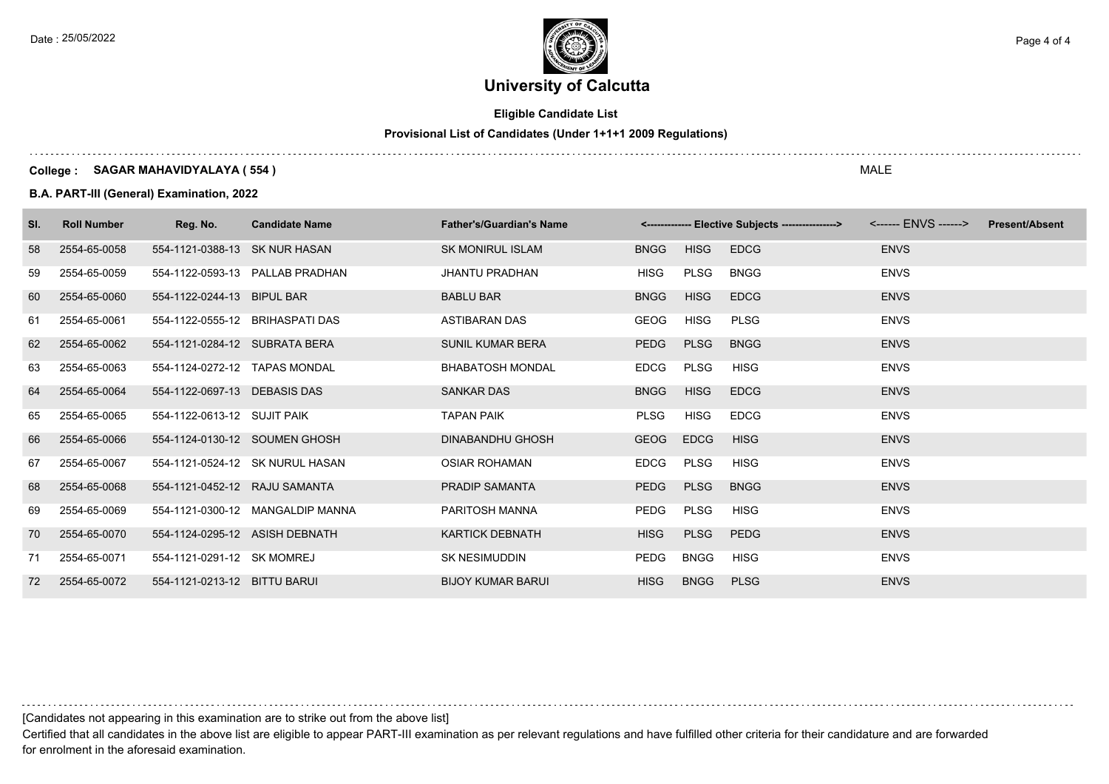

### **Eligible Candidate List**

### **Provisional List of Candidates (Under 1+1+1 2009 Regulations)**

#### **College : SAGAR MAHAVIDYALAYA ( 554 )**

#### **B.A. PART-III (General) Examination, 2022**

| SI. | <b>Roll Number</b> | Reg. No.                        | <b>Candidate Name</b>            | <b>Father's/Guardian's Name</b> |             |             | <------------- Elective Subjects ----------------> |             | <b>Present/Absent</b> |
|-----|--------------------|---------------------------------|----------------------------------|---------------------------------|-------------|-------------|----------------------------------------------------|-------------|-----------------------|
| 58  | 2554-65-0058       | 554-1121-0388-13 SK NUR HASAN   |                                  | <b>SK MONIRUL ISLAM</b>         | <b>BNGG</b> | <b>HISG</b> | <b>EDCG</b>                                        | <b>ENVS</b> |                       |
| 59  | 2554-65-0059       |                                 | 554-1122-0593-13 PALLAB PRADHAN  | <b>JHANTU PRADHAN</b>           | <b>HISG</b> | PLSG        | <b>BNGG</b>                                        | <b>ENVS</b> |                       |
| 60  | 2554-65-0060       | 554-1122-0244-13 BIPUL BAR      |                                  | <b>BABLU BAR</b>                | <b>BNGG</b> | <b>HISG</b> | <b>EDCG</b>                                        | <b>ENVS</b> |                       |
| 61  | 2554-65-0061       | 554-1122-0555-12 BRIHASPATI DAS |                                  | <b>ASTIBARAN DAS</b>            | GEOG        | <b>HISG</b> | <b>PLSG</b>                                        | <b>ENVS</b> |                       |
| 62  | 2554-65-0062       | 554-1121-0284-12 SUBRATA BERA   |                                  | <b>SUNIL KUMAR BERA</b>         | <b>PEDG</b> | <b>PLSG</b> | <b>BNGG</b>                                        | <b>ENVS</b> |                       |
| 63  | 2554-65-0063       | 554-1124-0272-12 TAPAS MONDAL   |                                  | <b>BHABATOSH MONDAL</b>         | <b>EDCG</b> | PLSG        | <b>HISG</b>                                        | <b>ENVS</b> |                       |
| 64  | 2554-65-0064       | 554-1122-0697-13 DEBASIS DAS    |                                  | <b>SANKAR DAS</b>               | <b>BNGG</b> | <b>HISG</b> | <b>EDCG</b>                                        | <b>ENVS</b> |                       |
| 65  | 2554-65-0065       | 554-1122-0613-12 SUJIT PAIK     |                                  | <b>TAPAN PAIK</b>               | <b>PLSG</b> | HISG        | <b>EDCG</b>                                        | <b>ENVS</b> |                       |
| 66  | 2554-65-0066       | 554-1124-0130-12 SOUMEN GHOSH   |                                  | <b>DINABANDHU GHOSH</b>         | <b>GEOG</b> | <b>EDCG</b> | <b>HISG</b>                                        | <b>ENVS</b> |                       |
| 67  | 2554-65-0067       |                                 | 554-1121-0524-12 SK NURUL HASAN  | <b>OSIAR ROHAMAN</b>            | EDCG        | PLSG        | HISG                                               | <b>ENVS</b> |                       |
| 68  | 2554-65-0068       | 554-1121-0452-12 RAJU SAMANTA   |                                  | <b>PRADIP SAMANTA</b>           | <b>PEDG</b> | <b>PLSG</b> | <b>BNGG</b>                                        | <b>ENVS</b> |                       |
| 69  | 2554-65-0069       |                                 | 554-1121-0300-12 MANGALDIP MANNA | PARITOSH MANNA                  | PEDG        | PLSG        | <b>HISG</b>                                        | <b>ENVS</b> |                       |
| 70  | 2554-65-0070       | 554-1124-0295-12 ASISH DEBNATH  |                                  | <b>KARTICK DEBNATH</b>          | <b>HISG</b> | <b>PLSG</b> | PEDG                                               | <b>ENVS</b> |                       |
| 71  | 2554-65-0071       | 554-1121-0291-12 SK MOMREJ      |                                  | <b>SK NESIMUDDIN</b>            | PEDG        | <b>BNGG</b> | <b>HISG</b>                                        | <b>ENVS</b> |                       |
| 72  | 2554-65-0072       | 554-1121-0213-12 BITTU BARUI    |                                  | <b>BIJOY KUMAR BARUI</b>        | <b>HISG</b> | <b>BNGG</b> | <b>PLSG</b>                                        | <b>ENVS</b> |                       |

[Candidates not appearing in this examination are to strike out from the above list]

Certified that all candidates in the above list are eligible to appear PART-III examination as per relevant regulations and have fulfilled other criteria for their candidature and are forwarded for enrolment in the aforesaid examination.